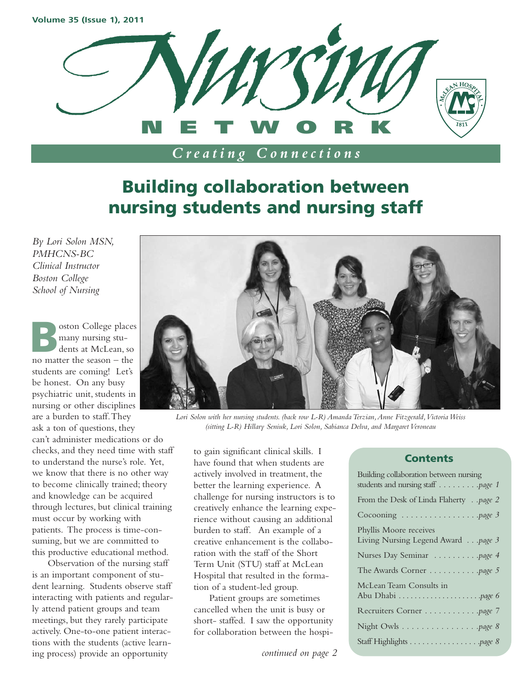

# **Building collaboration between**

# **nursing students and nursing staff**

*By Lori Solon MSN, PMHCNS-BC Clinical Instructor Boston College School of Nursing*

oston College places many nursing students at McLean, so no matter the season – the students are coming! Let's be honest. On any busy psychiatric unit, students in nursing or other disciplines are a burden to staff.They ask a ton of questions, they can't administer medications or do checks, and they need time with staff to understand the nurse's role. Yet, we know that there is no other way to become clinically trained; theory and knowledge can be acquired through lectures, but clinical training must occur by working with patients. The process is time-consuming, but we are committed to this productive educational method.

Observation of the nursing staff is an important component of student learning. Students observe staff interacting with patients and regularly attend patient groups and team meetings, but they rarely participate actively. One-to-one patient interactions with the students (active learning process) provide an opportunity



*Lori Solon with her nursing students. (back row L-R) Amanda Terzian,Anne Fitzgerald,Victoria Weiss (sitting L-R) Hillary Seniuk, Lori Solon, Sabianca Delva, and Margaret Veroneau*

to gain significant clinical skills. I have found that when students are actively involved in treatment, the better the learning experience. A challenge for nursing instructors is to creatively enhance the learning experience without causing an additional burden to staff. An example of a creative enhancement is the collaboration with the staff of the Short Term Unit (STU) staff at McLean Hospital that resulted in the formation of a student-led group.

Patient groups are sometimes cancelled when the unit is busy or short- staffed. I saw the opportunity for collaboration between the hospi-

*continued on page 2*

#### **Contents**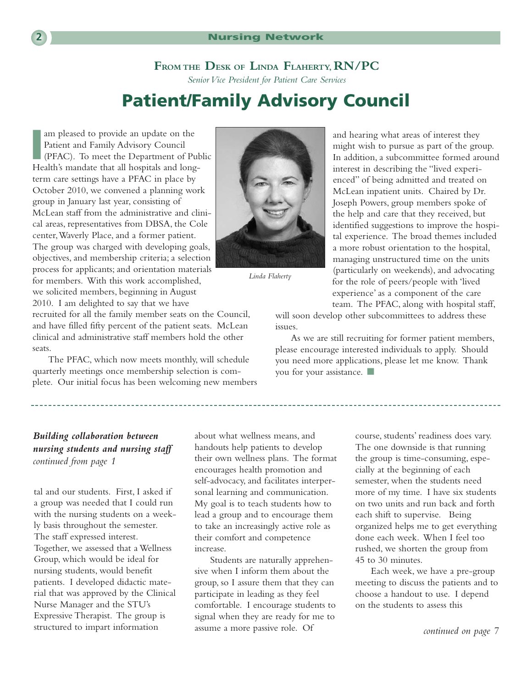#### **FROM THE DESK OF LINDA FLAHERTY, RN/PC**

*Senior Vice President for Patient Care Services*

### **Patient/Family Advisory Council**

Im pleased to provide an update on the<br>
Patient and Family Advisory Council<br>
(PFAC). To meet the Department of Public<br>
Health's mandate that all hospitals and long am pleased to provide an update on the Patient and Family Advisory Council Health's mandate that all hospitals and longterm care settings have a PFAC in place by October 2010, we convened a planning work group in January last year, consisting of McLean staff from the administrative and clinical areas, representatives from DBSA, the Cole center,Waverly Place, and a former patient. The group was charged with developing goals, objectives, and membership criteria; a selection process for applicants; and orientation materials for members. With this work accomplished, we solicited members, beginning in August 2010. I am delighted to say that we have

recruited for all the family member seats on the Council, and have filled fifty percent of the patient seats. McLean clinical and administrative staff members hold the other

The PFAC, which now meets monthly, will schedule quarterly meetings once membership selection is complete. Our initial focus has been welcoming new members



*Linda Flaherty*

and hearing what areas of interest they might wish to pursue as part of the group. In addition, a subcommittee formed around interest in describing the "lived experienced" of being admitted and treated on McLean inpatient units. Chaired by Dr. Joseph Powers, group members spoke of the help and care that they received, but identified suggestions to improve the hospital experience. The broad themes included a more robust orientation to the hospital, managing unstructured time on the units (particularly on weekends), and advocating for the role of peers/people with 'lived experience' as a component of the care team. The PFAC, along with hospital staff,

will soon develop other subcommittees to address these issues.

As we are still recruiting for former patient members, please encourage interested individuals to apply. Should you need more applications, please let me know. Thank you for your assistance. **■**

#### *Building collaboration between nursing students and nursing staff continued from page 1*

tal and our students. First, I asked if a group was needed that I could run with the nursing students on a weekly basis throughout the semester. The staff expressed interest. Together, we assessed that a Wellness Group, which would be ideal for nursing students, would benefit patients. I developed didactic material that was approved by the Clinical Nurse Manager and the STU's Expressive Therapist. The group is structured to impart information

about what wellness means, and handouts help patients to develop their own wellness plans. The format encourages health promotion and self-advocacy, and facilitates interpersonal learning and communication. My goal is to teach students how to lead a group and to encourage them to take an increasingly active role as their comfort and competence increase.

Students are naturally apprehensive when I inform them about the group, so I assure them that they can participate in leading as they feel comfortable. I encourage students to signal when they are ready for me to assume a more passive role. Of *continued on page 7*

course, students' readiness does vary. The one downside is that running the group is time-consuming, especially at the beginning of each semester, when the students need more of my time. I have six students on two units and run back and forth each shift to supervise. Being organized helps me to get everything done each week. When I feel too rushed, we shorten the group from 45 to 30 minutes.

Each week, we have a pre-group meeting to discuss the patients and to choose a handout to use. I depend on the students to assess this

seats.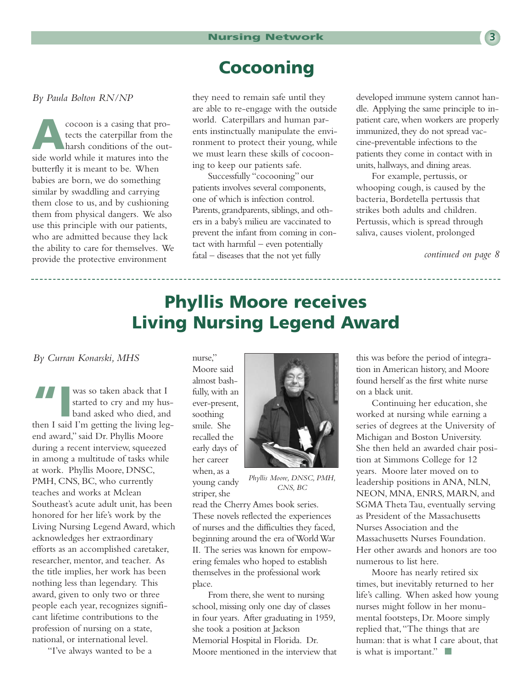### **Cocooning**

*By Paula Bolton RN/NP*

**A**cocoon is a casing that protects the caterpillar from the harsh conditions of the outside world while it matures into the butterfly it is meant to be. When babies are born, we do something similar by swaddling and carrying them close to us, and by cushioning them from physical dangers. We also use this principle with our patients, who are admitted because they lack the ability to care for themselves. We provide the protective environment

they need to remain safe until they are able to re-engage with the outside world. Caterpillars and human parents instinctually manipulate the environment to protect their young, while we must learn these skills of cocooning to keep our patients safe.

Successfully "cocooning" our patients involves several components, one of which is infection control. Parents, grandparents, siblings, and others in a baby's milieu are vaccinated to prevent the infant from coming in contact with harmful – even potentially fatal – diseases that the not yet fully

developed immune system cannot handle. Applying the same principle to inpatient care, when workers are properly immunized, they do not spread vaccine-preventable infections to the patients they come in contact with in units, hallways, and dining areas.

For example, pertussis, or whooping cough, is caused by the bacteria, Bordetella pertussis that strikes both adults and children. Pertussis, which is spread through saliva, causes violent, prolonged

*continued on page 8*

### **Phyllis Moore receives Living Nursing Legend Award**

*By Curran Konarski, MHS*

**TAN** was so taken aback that I<br>started to cry and my hu<br>band asked who died, and<br>then I said I'm getting the living lea started to cry and my husband asked who died, and then I said I'm getting the living legend award," said Dr. Phyllis Moore during a recent interview, squeezed in among a multitude of tasks while at work. Phyllis Moore, DNSC, PMH, CNS, BC, who currently teaches and works at Mclean Southeast's acute adult unit, has been honored for her life's work by the Living Nursing Legend Award, which acknowledges her extraordinary efforts as an accomplished caretaker, researcher, mentor, and teacher. As the title implies, her work has been nothing less than legendary. This award, given to only two or three people each year, recognizes significant lifetime contributions to the profession of nursing on a state, national, or international level.

"I've always wanted to be a

nurse," Moore said almost bashfully, with an ever-present, soothing smile. She recalled the early days of her career when, as a young candy striper, she



*Phyllis Moore, DNSC, PMH, CNS, BC*

read the Cherry Ames book series. These novels reflected the experiences of nurses and the difficulties they faced, beginning around the era of World War II. The series was known for empowering females who hoped to establish themselves in the professional work place.

From there, she went to nursing school, missing only one day of classes in four years. After graduating in 1959, she took a position at Jackson Memorial Hospital in Florida. Dr. Moore mentioned in the interview that this was before the period of integration in American history, and Moore found herself as the first white nurse on a black unit.

Continuing her education, she worked at nursing while earning a series of degrees at the University of Michigan and Boston University. She then held an awarded chair position at Simmons College for 12 years. Moore later moved on to leadership positions in ANA, NLN, NEON, MNA, ENRS, MARN, and SGMA Theta Tau, eventually serving as President of the Massachusetts Nurses Association and the Massachusetts Nurses Foundation. Her other awards and honors are too numerous to list here.

Moore has nearly retired six times, but inevitably returned to her life's calling. When asked how young nurses might follow in her monumental footsteps, Dr. Moore simply replied that,"The things that are human: that is what I care about, that is what is important." **■**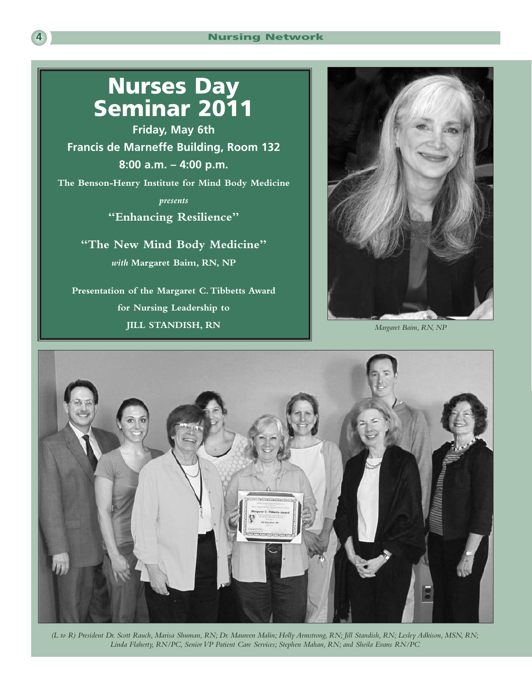### **Nurses Day Seminar 2011**

**Friday, May 6th Francis de Marneffe Building, Room 132 8:00 a.m. – 4:00 p.m. The Benson-Henry Institute for Mind Body Medicine**

> *presents* **"Enhancing Resilience"**

**"The New Mind Body Medicine"** *with* **Margaret Baim, RN, NP**

**Presentation of the Margaret C.Tibbetts Award for Nursing Leadership to JILL STANDISH, RN**



*Margaret Baim, RN, NP*



*(L to R) President Dr. Scott Rauch, Marisa Shuman, RN; Dr. Maureen Malin; Holly Armstrong, RN; Jill Standish, RN; Lesley Adkison, MSN, RN; Linda Flaherty, RN/PC, Senior VP Patient Care Services; Stephen Mahan, RN; and Sheila Evans RN/PC*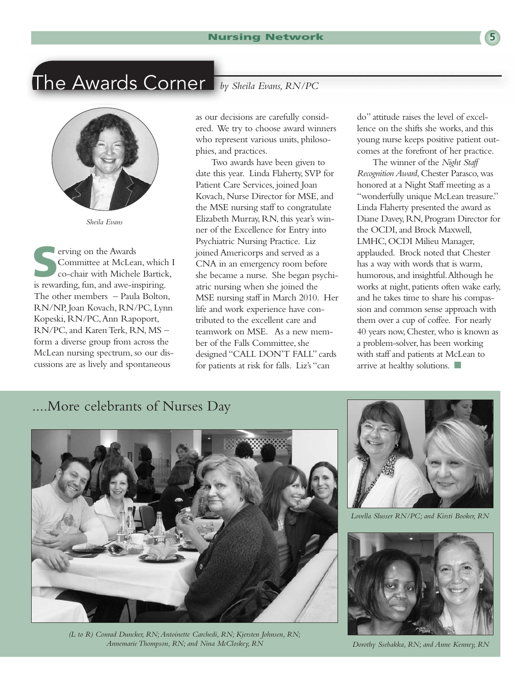### The Awards Corner *by Sheila Evans, RN/PC*

*Sheila Evans*

**S**erving on the Awards Committee at McLean, which I co-chair with Michele Bartick, is rewarding, fun, and awe-inspiring. The other members – Paula Bolton, RN/NP, Joan Kovach, RN/PC, Lynn Kopeski, RN/PC,Ann Rapoport, RN/PC, and Karen Terk, RN, MS – form a diverse group from across the McLean nursing spectrum, so our discussions are as lively and spontaneous

as our decisions are carefully considered. We try to choose award winners who represent various units, philosophies, and practices.

Two awards have been given to date this year. Linda Flaherty, SVP for Patient Care Services, joined Joan Kovach, Nurse Director for MSE, and the MSE nursing staff to congratulate Elizabeth Murray, RN, this year's winner of the Excellence for Entry into Psychiatric Nursing Practice. Liz joined Americorps and served as a CNA in an emergency room before she became a nurse. She began psychiatric nursing when she joined the MSE nursing staff in March 2010. Her life and work experience have contributed to the excellent care and teamwork on MSE. As a new member of the Falls Committee, she designed "CALL DON'T FALL" cards for patients at risk for falls. Liz's "can

do" attitude raises the level of excellence on the shifts she works, and this young nurse keeps positive patient outcomes at the forefront of her practice.

The winner of the *Night Staff Recognition Award*, Chester Parasco, was honored at a Night Staff meeting as a "wonderfully unique McLean treasure." Linda Flaherty presented the award as Diane Davey, RN, Program Director for the OCDI, and Brock Maxwell, LMHC, OCDI Milieu Manager, applauded. Brock noted that Chester has a way with words that is warm, humorous, and insightful.Although he works at night, patients often wake early, and he takes time to share his compassion and common sense approach with them over a cup of coffee. For nearly 40 years now, Chester, who is known as a problem-solver, has been working with staff and patients at McLean to arrive at healthy solutions. **■**

### ....More celebrants of Nurses Day



*(L to R) Conrad Duncker, RN;Antoinette Carchedi, RN; Kjersten Johnsen, RN; Annemarie Thompson, RN; and Nina McCloskey, RN*



*Lovella Slusser RN/PC; and Kirsti Booker, RN*



*Dorothy Ssebakka, RN; and Anne Kenney, RN*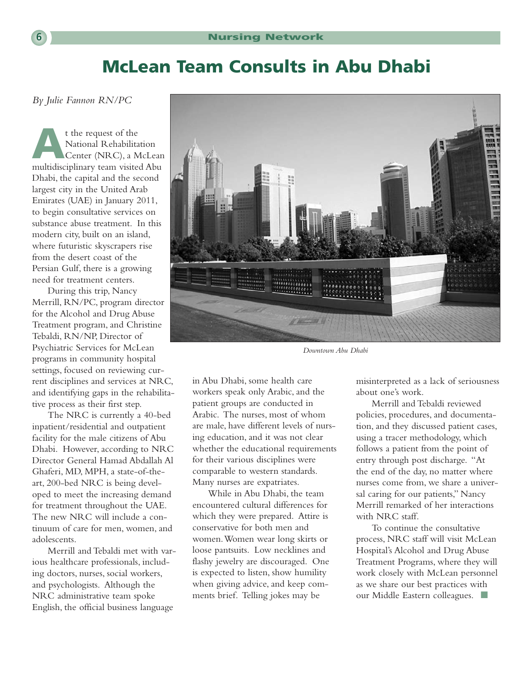### **McLean Team Consults in Abu Dhabi**

*By Julie Fannon RN/PC*

**A**t the request of the National Rehabilitation Center (NRC), a McLean multidisciplinary team visited Abu Dhabi, the capital and the second largest city in the United Arab Emirates (UAE) in January 2011, to begin consultative services on substance abuse treatment. In this modern city, built on an island, where futuristic skyscrapers rise from the desert coast of the Persian Gulf, there is a growing need for treatment centers.

During this trip, Nancy Merrill, RN/PC, program director for the Alcohol and Drug Abuse Treatment program, and Christine Tebaldi, RN/NP, Director of Psychiatric Services for McLean programs in community hospital settings, focused on reviewing current disciplines and services at NRC, and identifying gaps in the rehabilitative process as their first step.

The NRC is currently a 40-bed inpatient/residential and outpatient facility for the male citizens of Abu Dhabi. However, according to NRC Director General Hamad Abdallah Al Ghaferi, MD, MPH, a state-of-theart, 200-bed NRC is being developed to meet the increasing demand for treatment throughout the UAE. The new NRC will include a continuum of care for men, women, and adolescents.

Merrill and Tebaldi met with various healthcare professionals, including doctors, nurses, social workers, and psychologists. Although the NRC administrative team spoke English, the official business language



*Downtown Abu Dhabi*

in Abu Dhabi, some health care workers speak only Arabic, and the patient groups are conducted in Arabic. The nurses, most of whom are male, have different levels of nursing education, and it was not clear whether the educational requirements for their various disciplines were comparable to western standards. Many nurses are expatriates.

While in Abu Dhabi, the team encountered cultural differences for which they were prepared. Attire is conservative for both men and women.Women wear long skirts or loose pantsuits. Low necklines and flashy jewelry are discouraged. One is expected to listen, show humility when giving advice, and keep comments brief. Telling jokes may be

misinterpreted as a lack of seriousness about one's work.

Merrill and Tebaldi reviewed policies, procedures, and documentation, and they discussed patient cases, using a tracer methodology, which follows a patient from the point of entry through post discharge. "At the end of the day, no matter where nurses come from, we share a universal caring for our patients," Nancy Merrill remarked of her interactions with NRC staff.

To continue the consultative process, NRC staff will visit McLean Hospital's Alcohol and Drug Abuse Treatment Programs, where they will work closely with McLean personnel as we share our best practices with our Middle Eastern colleagues. **■**

$$
\boxed{6}
$$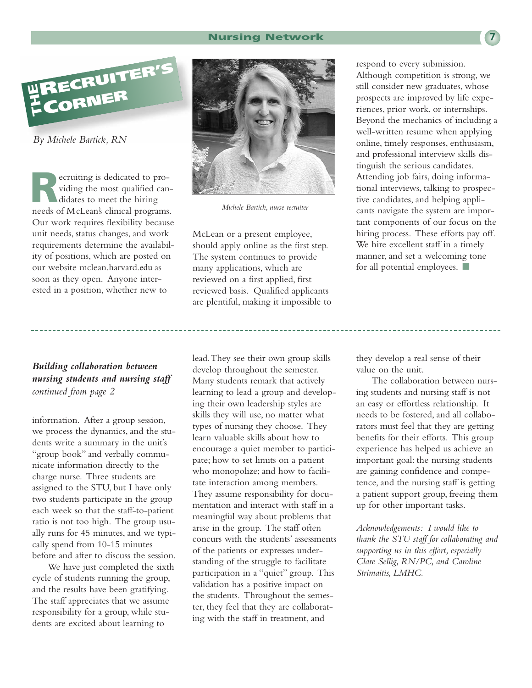#### **Nursing Network 7**



*By Michele Bartick, RN*

ecruiting is dedicated to providing the most qualified candidates to meet the hiring needs of McLean's clinical programs. Our work requires flexibility because unit needs, status changes, and work requirements determine the availability of positions, which are posted on our website mclean.harvard.edu as soon as they open. Anyone interested in a position, whether new to

#### *Building collaboration between nursing students and nursing staff continued from page 2*

information. After a group session, we process the dynamics, and the students write a summary in the unit's "group book" and verbally communicate information directly to the charge nurse. Three students are assigned to the STU, but I have only two students participate in the group each week so that the staff-to-patient ratio is not too high. The group usually runs for 45 minutes, and we typically spend from 10-15 minutes before and after to discuss the session.

We have just completed the sixth cycle of students running the group, and the results have been gratifying. The staff appreciates that we assume responsibility for a group, while students are excited about learning to



*Michele Bartick, nurse recruiter*

McLean or a present employee, should apply online as the first step. The system continues to provide many applications, which are reviewed on a first applied, first reviewed basis. Qualified applicants are plentiful, making it impossible to

respond to every submission. Although competition is strong, we still consider new graduates, whose prospects are improved by life experiences, prior work, or internships. Beyond the mechanics of including a well-written resume when applying online, timely responses, enthusiasm, and professional interview skills distinguish the serious candidates. Attending job fairs, doing informational interviews, talking to prospective candidates, and helping applicants navigate the system are important components of our focus on the hiring process. These efforts pay off. We hire excellent staff in a timely manner, and set a welcoming tone for all potential employees. **■**

lead.They see their own group skills develop throughout the semester. Many students remark that actively learning to lead a group and developing their own leadership styles are skills they will use, no matter what types of nursing they choose. They learn valuable skills about how to encourage a quiet member to participate; how to set limits on a patient who monopolize; and how to facilitate interaction among members. They assume responsibility for documentation and interact with staff in a meaningful way about problems that arise in the group. The staff often concurs with the students' assessments of the patients or expresses understanding of the struggle to facilitate participation in a "quiet" group. This validation has a positive impact on the students. Throughout the semester, they feel that they are collaborating with the staff in treatment, and

they develop a real sense of their value on the unit.

The collaboration between nursing students and nursing staff is not an easy or effortless relationship. It needs to be fostered, and all collaborators must feel that they are getting benefits for their efforts. This group experience has helped us achieve an important goal: the nursing students are gaining confidence and competence, and the nursing staff is getting a patient support group, freeing them up for other important tasks.

*Acknowledgements: I would like to thank the STU staff for collaborating and supporting us in this effort, especially Clare Sellig, RN/PC, and Caroline Strimaitis, LMHC.*